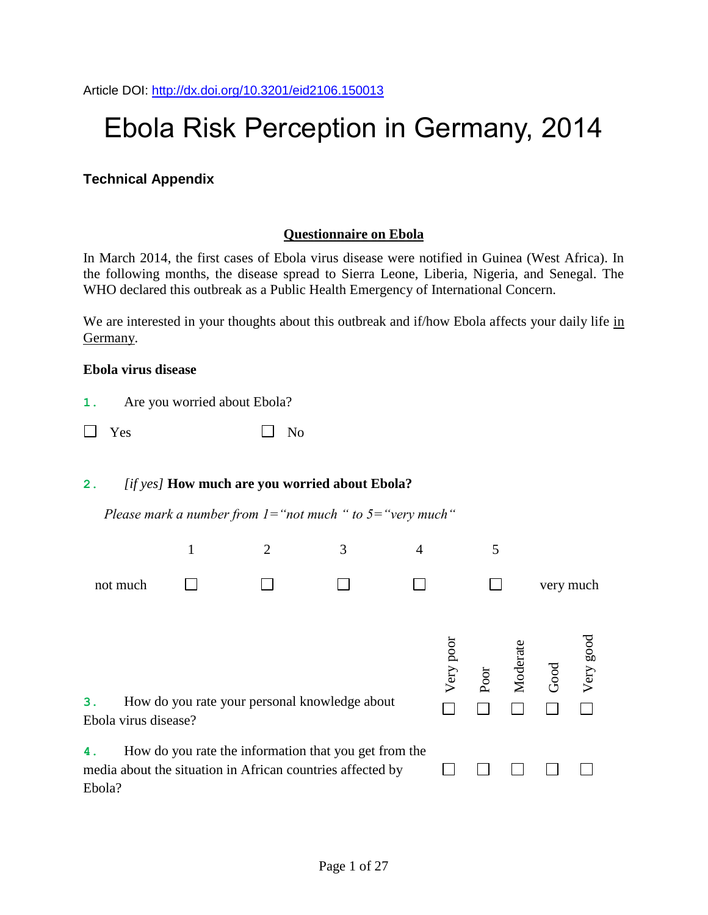# Ebola Risk Perception in Germany, 2014

### **Technical Appendix**

#### **Questionnaire on Ebola**

In March 2014, the first cases of Ebola virus disease were notified in Guinea (West Africa). In the following months, the disease spread to Sierra Leone, Liberia, Nigeria, and Senegal. The WHO declared this outbreak as a Public Health Emergency of International Concern.

We are interested in your thoughts about this outbreak and if/how Ebola affects your daily life in Germany.

#### **Ebola virus disease**

| Are you worried about Ebola?<br>ι. |
|------------------------------------|
|------------------------------------|

| $\Box$ Yes |  | $\Box$ No |
|------------|--|-----------|
|------------|--|-----------|

#### **2.** *[if yes]* **How much are you worried about Ebola?**

*Please mark a number from 1="not much " to 5="very much"*

|              |                      |  | 3                                                                                                                   | 4 |           |      |          |           |           |
|--------------|----------------------|--|---------------------------------------------------------------------------------------------------------------------|---|-----------|------|----------|-----------|-----------|
|              | not much             |  |                                                                                                                     |   |           |      |          | very much |           |
| З.           | Ebola virus disease? |  | How do you rate your personal knowledge about                                                                       |   | Very poor | Poor | Moderate | Good      | Very good |
| 4.<br>Ebola? |                      |  | How do you rate the information that you get from the<br>media about the situation in African countries affected by |   |           |      |          |           |           |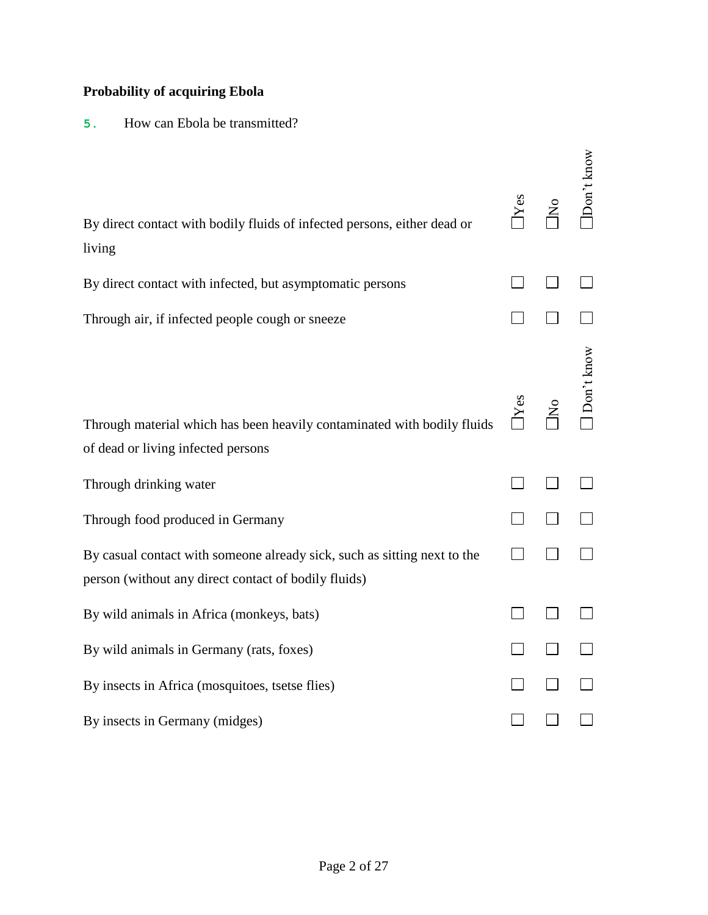### **Probability of acquiring Ebola**

### **5.** How can Ebola be transmitted?

| By direct contact with bodily fluids of infected persons, either dead or<br>living                                               | $Y$ es | $\rm \stackrel{\circ}{\rm N}$ | Don't know |
|----------------------------------------------------------------------------------------------------------------------------------|--------|-------------------------------|------------|
| By direct contact with infected, but asymptomatic persons                                                                        |        |                               |            |
| Through air, if infected people cough or sneeze                                                                                  |        |                               |            |
| Through material which has been heavily contaminated with bodily fluids<br>of dead or living infected persons                    | Yes    | $\overline{\mathsf{z}}$       | Don't know |
| Through drinking water                                                                                                           |        |                               |            |
| Through food produced in Germany                                                                                                 |        |                               |            |
| By casual contact with someone already sick, such as sitting next to the<br>person (without any direct contact of bodily fluids) |        |                               |            |
| By wild animals in Africa (monkeys, bats)                                                                                        |        |                               |            |
| By wild animals in Germany (rats, foxes)                                                                                         |        |                               |            |
| By insects in Africa (mosquitoes, tsetse flies)                                                                                  |        |                               |            |
| By insects in Germany (midges)                                                                                                   |        |                               |            |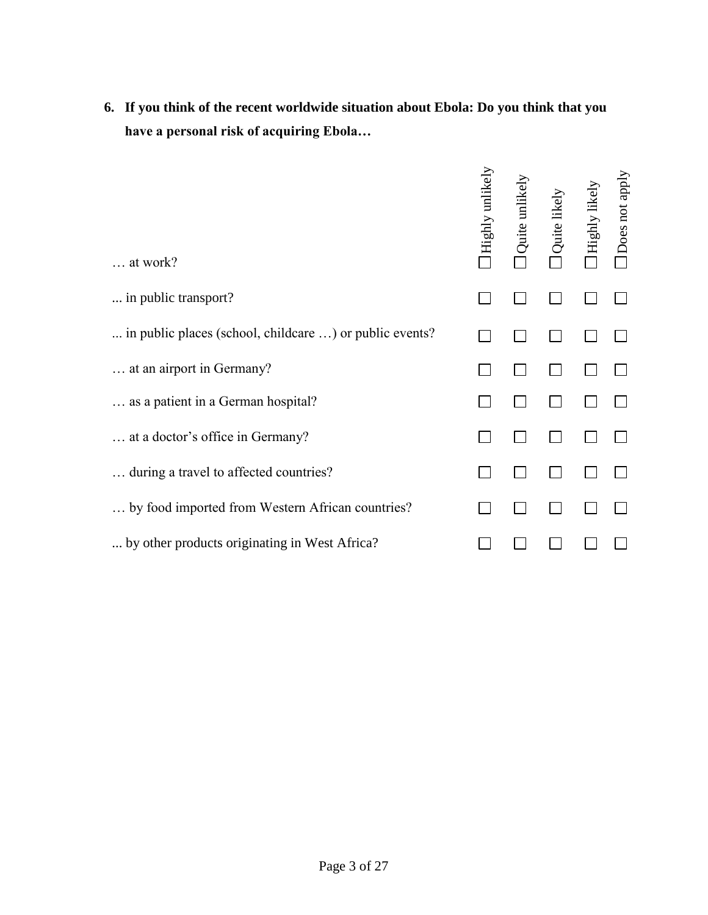| 6. If you think of the recent worldwide situation about Ebola: Do you think that you |
|--------------------------------------------------------------------------------------|
| have a personal risk of acquiring Ebola                                              |

| $\ldots$ at work?                                       | Highly unlikely | Quite unlikel | Quite likely | Highly likely | Does not apply |
|---------------------------------------------------------|-----------------|---------------|--------------|---------------|----------------|
| in public transport?                                    |                 |               |              |               |                |
| in public places (school, childcare ) or public events? |                 |               |              |               |                |
| at an airport in Germany?                               |                 |               |              |               |                |
| as a patient in a German hospital?                      |                 |               |              |               |                |
| at a doctor's office in Germany?                        |                 |               |              |               |                |
| during a travel to affected countries?                  |                 |               |              |               |                |
| by food imported from Western African countries?        |                 |               |              |               |                |
| by other products originating in West Africa?           |                 |               |              |               |                |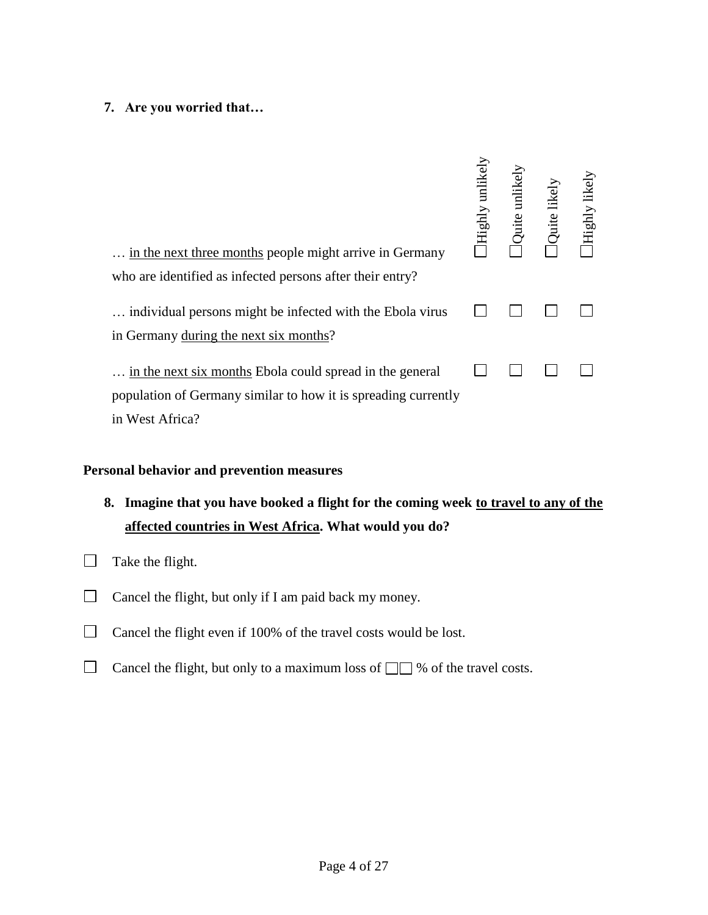### **7. Are you worried that…**

| in the next three months people might arrive in Germany<br>who are identified as infected persons after their entry?                          | Highly unlikely | Quite unlikel | Quite likely | Highly likely |
|-----------------------------------------------------------------------------------------------------------------------------------------------|-----------------|---------------|--------------|---------------|
| individual persons might be infected with the Ebola virus<br>in Germany during the next six months?                                           |                 |               |              |               |
| in the next six months Ebola could spread in the general<br>population of Germany similar to how it is spreading currently<br>in West Africa? |                 |               |              |               |

### **Personal behavior and prevention measures**

- **8. Imagine that you have booked a flight for the coming week to travel to any of the affected countries in West Africa. What would you do?**
- $\Box$  Take the flight.
- $\Box$  Cancel the flight, but only if I am paid back my money.
- $\Box$ Cancel the flight even if 100% of the travel costs would be lost.
- $\Box$ Cancel the flight, but only to a maximum loss of  $\Box$  % of the travel costs.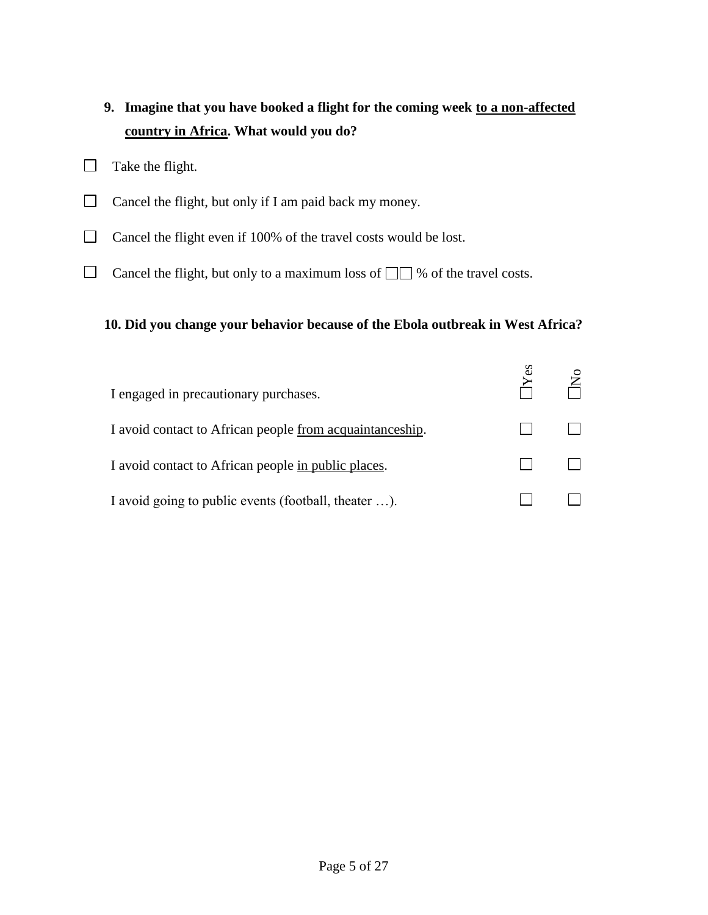### **9. Imagine that you have booked a flight for the coming week to a non-affected country in Africa. What would you do?**

- $\Box$  Take the flight.
- $\Box$  Cancel the flight, but only if I am paid back my money.
- $\Box$  Cancel the flight even if 100% of the travel costs would be lost.
- $\Box$  Cancel the flight, but only to a maximum loss of  $\Box$  % of the travel costs.

### **10. Did you change your behavior because of the Ebola outbreak in West Africa?**

| I engaged in precautionary purchases.                    |  |
|----------------------------------------------------------|--|
| I avoid contact to African people from acquaintanceship. |  |
| I avoid contact to African people in public places.      |  |
| I avoid going to public events (football, theater ).     |  |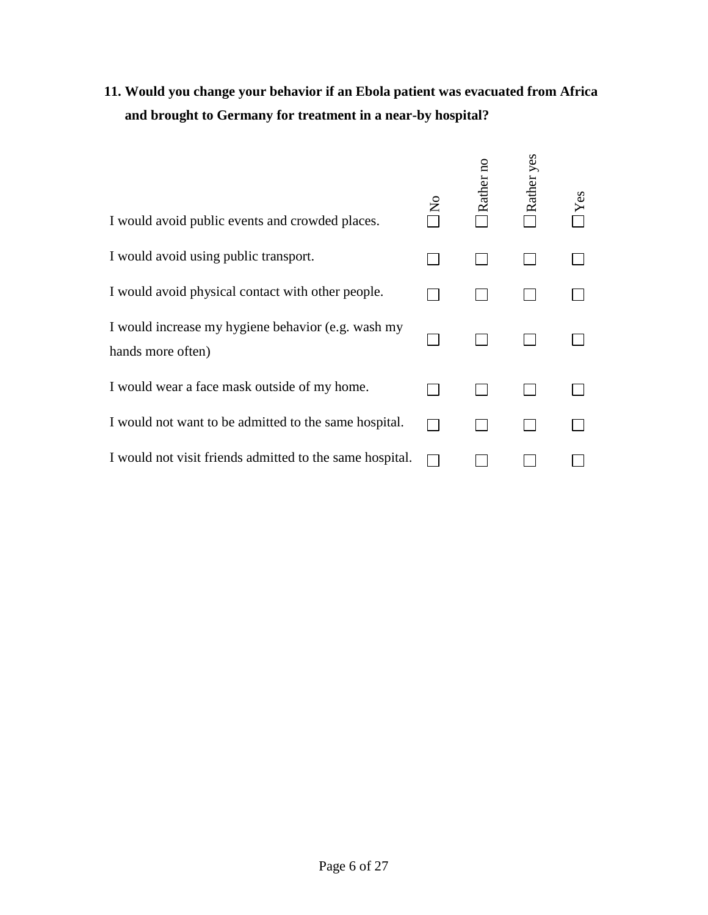# **11. Would you change your behavior if an Ebola patient was evacuated from Africa and brought to Germany for treatment in a near-by hospital?**

| I would avoid public events and crowded places.                         | Rather no | Rather yes |  |
|-------------------------------------------------------------------------|-----------|------------|--|
| I would avoid using public transport.                                   |           |            |  |
| I would avoid physical contact with other people.                       |           |            |  |
| I would increase my hygiene behavior (e.g. wash my<br>hands more often) |           |            |  |
| I would wear a face mask outside of my home.                            |           |            |  |
| I would not want to be admitted to the same hospital.                   |           |            |  |
| I would not visit friends admitted to the same hospital.                |           |            |  |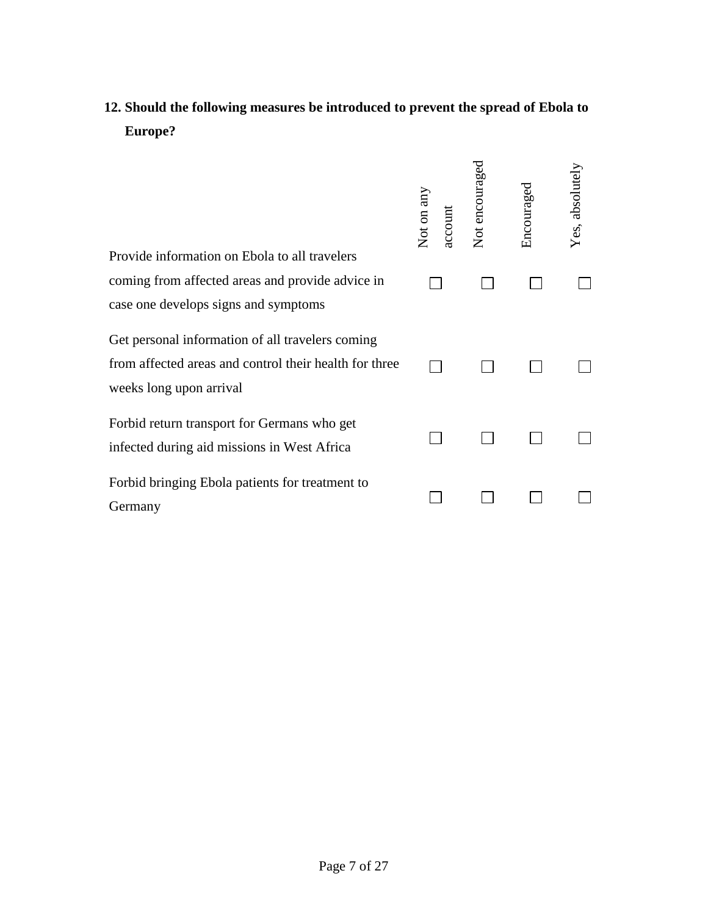# **12. Should the following measures be introduced to prevent the spread of Ebola to Europe?**

| Provide information on Ebola to all travelers                                                                                         | Not on any<br>account | Not encouraged | Encouraged | Yes, absolutely |
|---------------------------------------------------------------------------------------------------------------------------------------|-----------------------|----------------|------------|-----------------|
| coming from affected areas and provide advice in<br>case one develops signs and symptoms                                              |                       |                |            |                 |
| Get personal information of all travelers coming<br>from affected areas and control their health for three<br>weeks long upon arrival |                       |                |            |                 |
| Forbid return transport for Germans who get<br>infected during aid missions in West Africa                                            |                       |                |            |                 |
| Forbid bringing Ebola patients for treatment to<br>Germany                                                                            |                       |                |            |                 |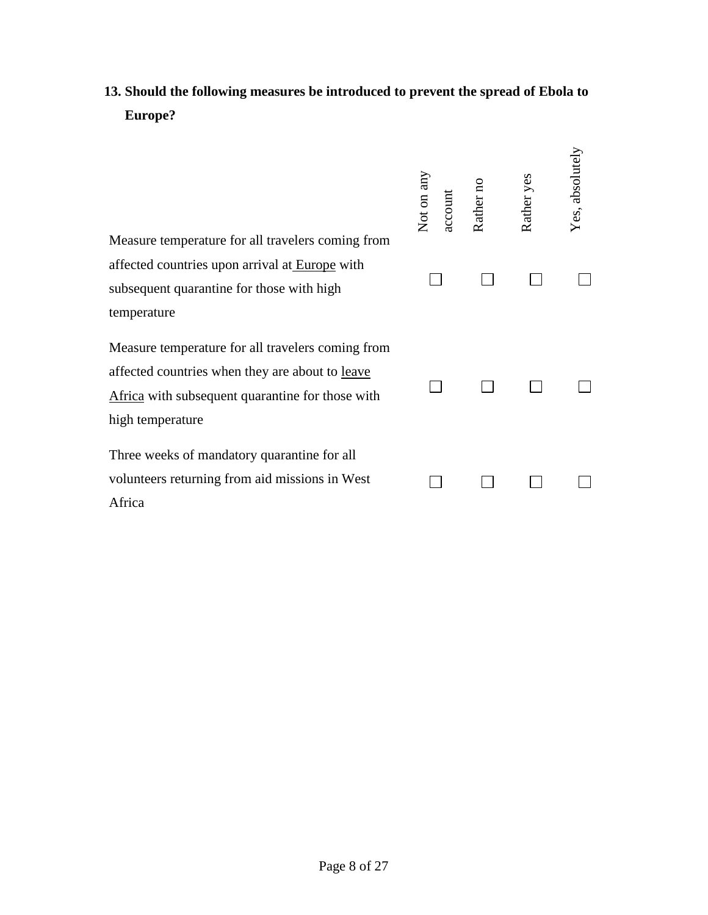# **13. Should the following measures be introduced to prevent the spread of Ebola to Europe?**

| Measure temperature for all travelers coming from                                                                                                                                   | Not on any<br>account | Rather no | Rather yes | Yes, absolutely |
|-------------------------------------------------------------------------------------------------------------------------------------------------------------------------------------|-----------------------|-----------|------------|-----------------|
| affected countries upon arrival at Europe with<br>subsequent quarantine for those with high<br>temperature                                                                          |                       |           |            |                 |
| Measure temperature for all travelers coming from<br>affected countries when they are about to <u>leave</u><br>Africa with subsequent quarantine for those with<br>high temperature |                       |           |            |                 |
| Three weeks of mandatory quarantine for all<br>volunteers returning from aid missions in West<br>Africa                                                                             |                       |           |            |                 |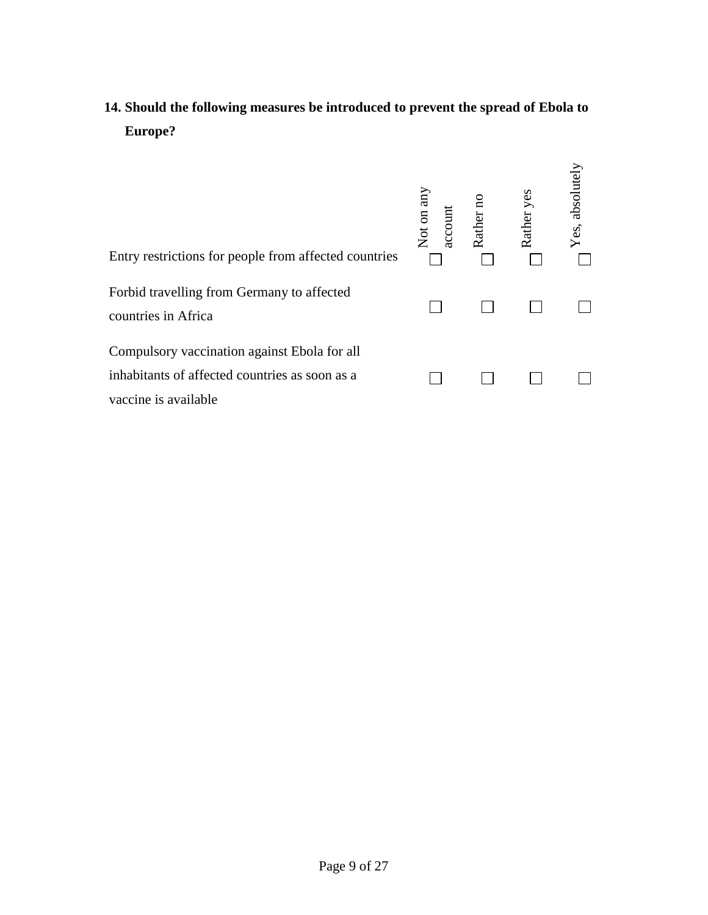# **14. Should the following measures be introduced to prevent the spread of Ebola to Europe?**

| Entry restrictions for people from affected countries                                                                  | Not on any<br>account | Rather | yes<br>Rather | Yes, absolutely |
|------------------------------------------------------------------------------------------------------------------------|-----------------------|--------|---------------|-----------------|
| Forbid travelling from Germany to affected<br>countries in Africa                                                      |                       |        |               |                 |
| Compulsory vaccination against Ebola for all<br>inhabitants of affected countries as soon as a<br>vaccine is available |                       |        |               |                 |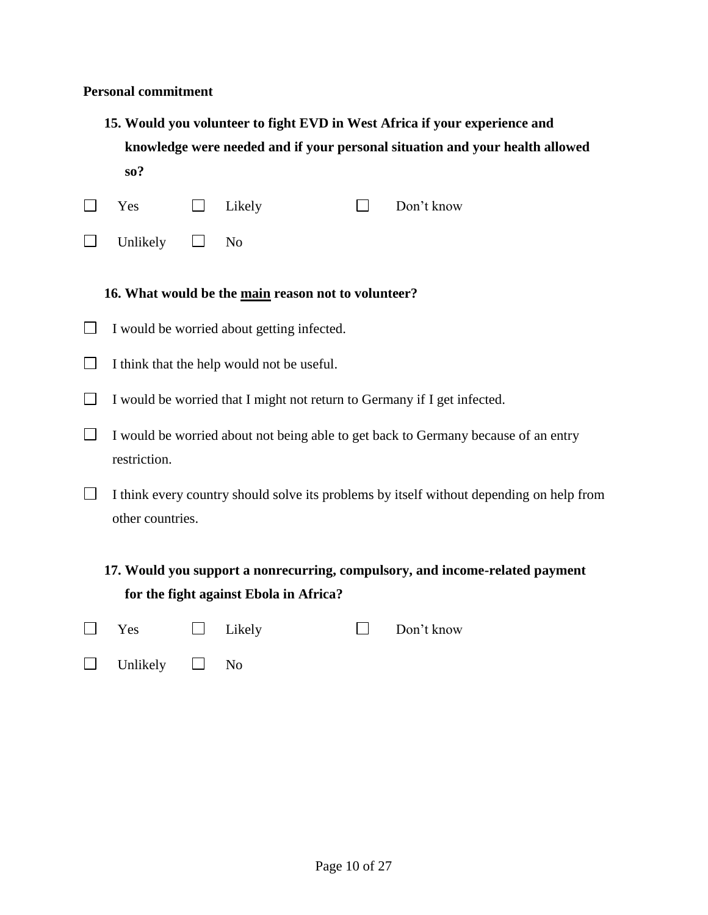#### **Personal commitment**

- **15. Would you volunteer to fight EVD in West Africa if your experience and knowledge were needed and if your personal situation and your health allowed so?**
- $\Box$ Yes  $\Box$  Likely  $\Box$  Don't know
- $\Box$ Unlikely  $\Box$  No

#### **16. What would be the main reason not to volunteer?**

- $\Box$  I would be worried about getting infected.
- $\Box$  I think that the help would not be useful.
- $\Box$  I would be worried that I might not return to Germany if I get infected.
- $\Box$  I would be worried about not being able to get back to Germany because of an entry restriction.
- $\Box$  I think every country should solve its problems by itself without depending on help from other countries.
	- **17. Would you support a nonrecurring, compulsory, and income-related payment for the fight against Ebola in Africa?**

| Yes | $\Box$ Likely |  | $\Box$ Don't know |
|-----|---------------|--|-------------------|
|-----|---------------|--|-------------------|

| Unlikely |  | N٥ |
|----------|--|----|
|----------|--|----|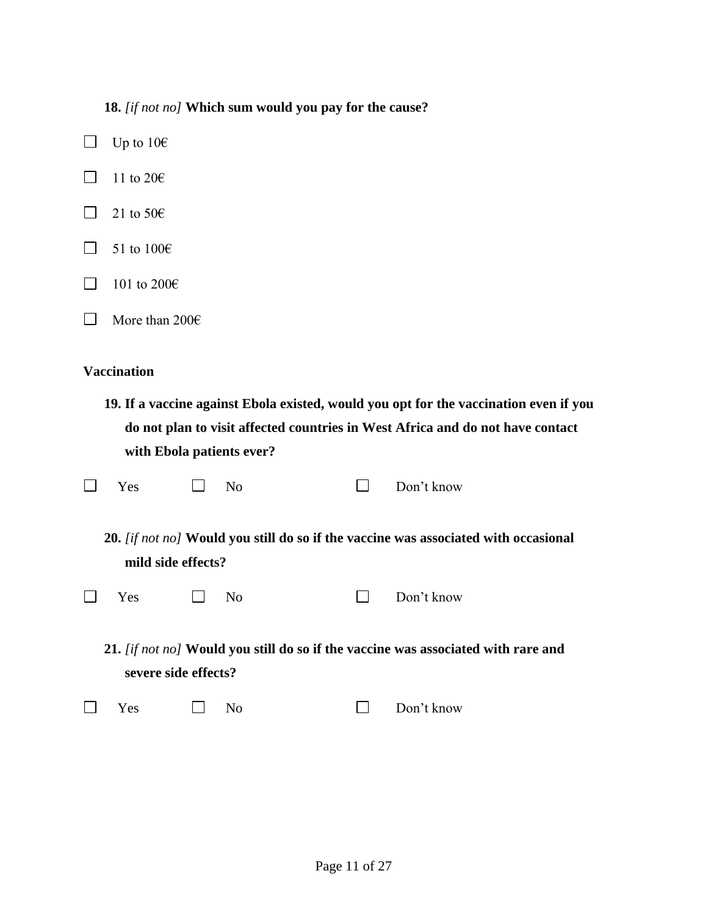### **18.** *[if not no]* **Which sum would you pay for the cause?**

- $\Box$  Up to 10 $\epsilon$  $\Box$  11 to 20 $\epsilon$
- $\Box$  21 to 50 $\epsilon$
- $\Box$  51 to 100 $\epsilon$
- $\Box$  101 to 200€
- More than 200€

#### **Vaccination**

**19. If a vaccine against Ebola existed, would you opt for the vaccination even if you do not plan to visit affected countries in West Africa and do not have contact with Ebola patients ever?** 

| $\Box$ Yes |  | $\Box$ No |  |  | $\Box$ Don't know |
|------------|--|-----------|--|--|-------------------|
|------------|--|-----------|--|--|-------------------|

**20.** *[if not no]* **Would you still do so if the vaccine was associated with occasional mild side effects?** 

| $\Box$ Yes |  | $\Box$ No |  |  | $\Box$ Don't know |
|------------|--|-----------|--|--|-------------------|
|------------|--|-----------|--|--|-------------------|

**21.** *[if not no]* **Would you still do so if the vaccine was associated with rare and severe side effects?**

|  |  | $\Box$ No |  | $\Box$ Don't know |
|--|--|-----------|--|-------------------|
|--|--|-----------|--|-------------------|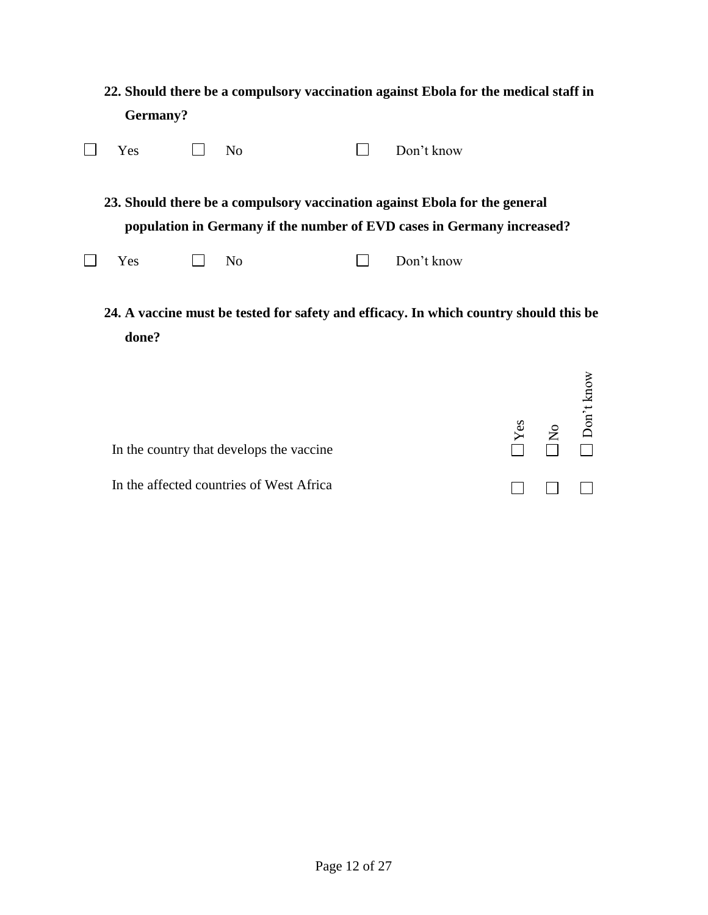**22. Should there be a compulsory vaccination against Ebola for the medical staff in Germany?** 

| Yes                                                                                   |  | N <sub>0</sub> |  | Don't know                                                                                                                                           |  |  |
|---------------------------------------------------------------------------------------|--|----------------|--|------------------------------------------------------------------------------------------------------------------------------------------------------|--|--|
|                                                                                       |  |                |  | 23. Should there be a compulsory vaccination against Ebola for the general<br>population in Germany if the number of EVD cases in Germany increased? |  |  |
| Yes                                                                                   |  | N <sub>0</sub> |  | Don't know                                                                                                                                           |  |  |
| 24. A vaccine must be tested for safety and efficacy. In which country should this be |  |                |  |                                                                                                                                                      |  |  |

**done?**   $\gtrsim$ 

|                                          | Yes          | $\frac{1}{\sqrt{2}}$ Don <sup>3</sup> |              |
|------------------------------------------|--------------|---------------------------------------|--------------|
| In the country that develops the vaccine |              |                                       |              |
| In the affected countries of West Africa | $\mathbf{1}$ |                                       | $\mathbf{1}$ |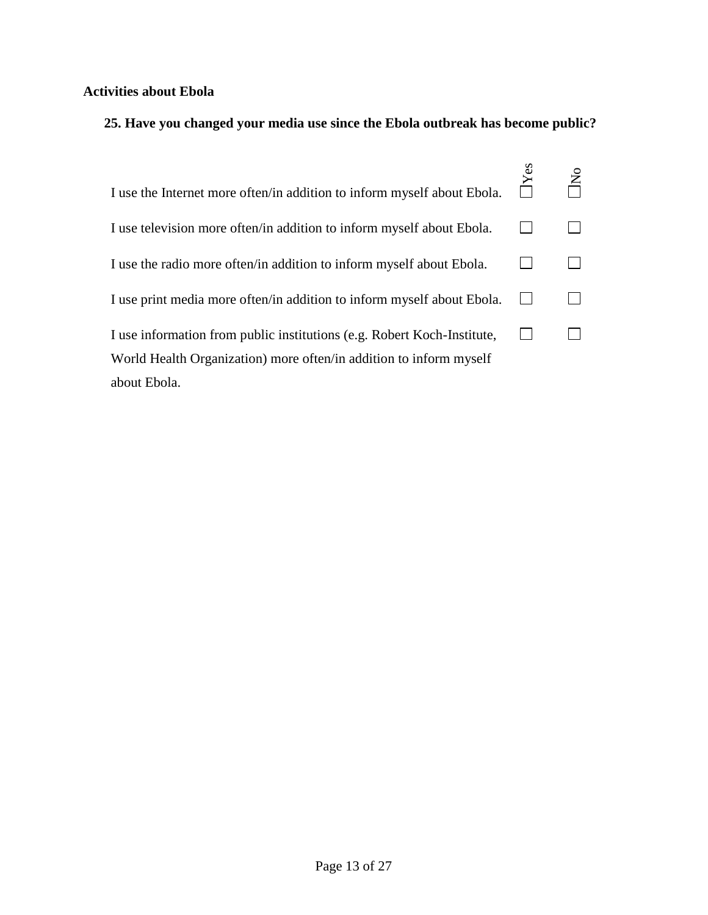### **Activities about Ebola**

### **25. Have you changed your media use since the Ebola outbreak has become public?**

| I use the Internet more often/in addition to inform myself about Ebola. |  |
|-------------------------------------------------------------------------|--|
| I use television more often/in addition to inform myself about Ebola.   |  |
| I use the radio more often/in addition to inform myself about Ebola.    |  |
| I use print media more often/in addition to inform myself about Ebola.  |  |
| I use information from public institutions (e.g. Robert Koch-Institute, |  |
| World Health Organization) more often/in addition to inform myself      |  |
| about Ebola.                                                            |  |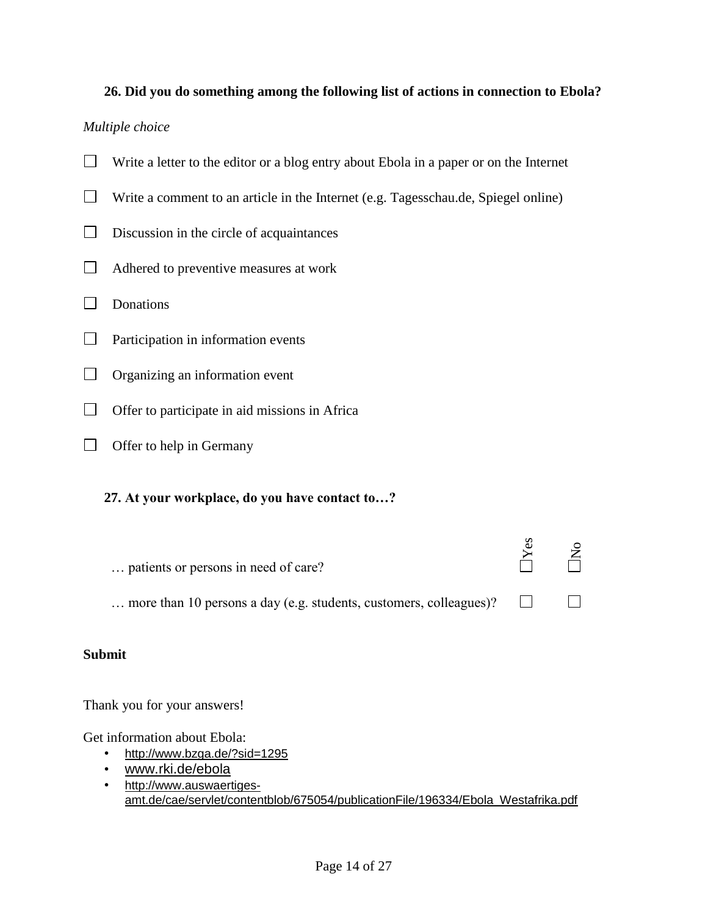#### **26. Did you do something among the following list of actions in connection to Ebola?**

#### *Multiple choice*

- $\Box$  Write a letter to the editor or a blog entry about Ebola in a paper or on the Internet
- $\Box$  Write a comment to an article in the Internet (e.g. Tagesschau.de, Spiegel online)
- $\Box$  Discussion in the circle of acquaintances
- Adhered to preventive measures at work
- Donations
- $\Box$ Participation in information events
- $\Box$ Organizing an information event
- $\Box$  Offer to participate in aid missions in Africa
- $\Box$  Offer to help in Germany

#### **27. At your workplace, do you have contact to…?**

| patients or persons in need of care?                               |  |
|--------------------------------------------------------------------|--|
| more than 10 persons a day (e.g. students, customers, colleagues)? |  |

#### **Submit**

Thank you for your answers!

Get information about Ebola:

- <http://www.bzga.de/?sid=1295>
- [www.rki.de/ebola](http://www.rki.de/ebola)
- [http://www.auswaertiges](http://www.auswaertiges-amt.de/cae/servlet/contentblob/675054/publicationFile/196334/Ebola_Westafrika.pdf)[amt.de/cae/servlet/contentblob/675054/publicationFile/196334/Ebola\\_Westafrika.pdf](http://www.auswaertiges-amt.de/cae/servlet/contentblob/675054/publicationFile/196334/Ebola_Westafrika.pdf)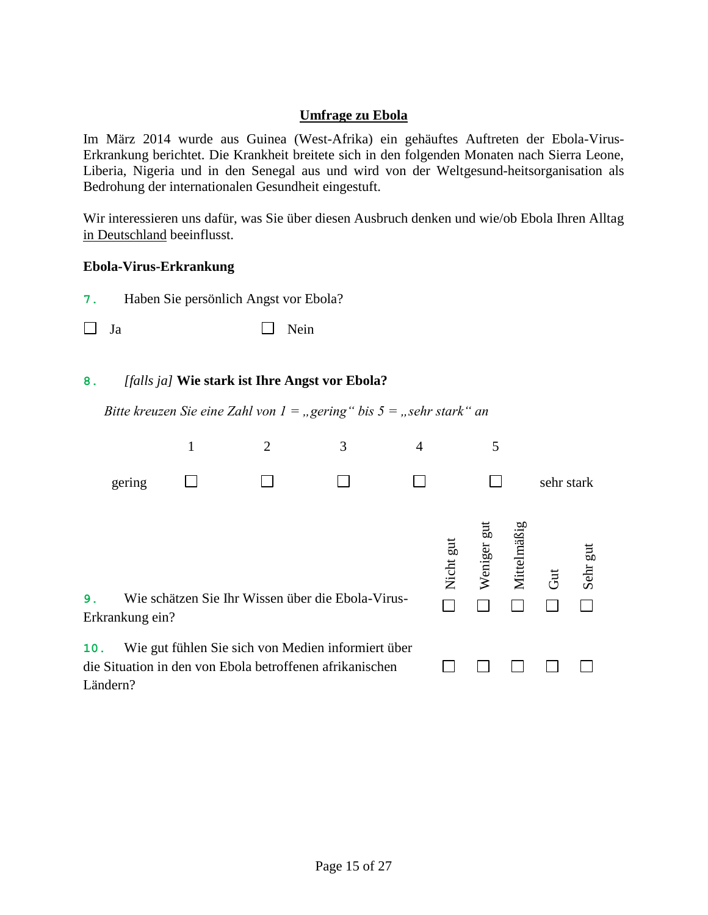#### **Umfrage zu Ebola**

Im März 2014 wurde aus Guinea (West-Afrika) ein gehäuftes Auftreten der Ebola-Virus-Erkrankung berichtet. Die Krankheit breitete sich in den folgenden Monaten nach Sierra Leone, Liberia, Nigeria und in den Senegal aus und wird von der Weltgesund-heitsorganisation als Bedrohung der internationalen Gesundheit eingestuft.

Wir interessieren uns dafür, was Sie über diesen Ausbruch denken und wie/ob Ebola Ihren Alltag in Deutschland beeinflusst.

#### **Ebola-Virus-Erkrankung**

Ländern?

| 7.  | Haben Sie persönlich Angst vor Ebola?                                                                                              |              |                                                                            |   |   |  |   |  |            |  |  |
|-----|------------------------------------------------------------------------------------------------------------------------------------|--------------|----------------------------------------------------------------------------|---|---|--|---|--|------------|--|--|
|     | Ja                                                                                                                                 |              | Nein                                                                       |   |   |  |   |  |            |  |  |
|     |                                                                                                                                    |              |                                                                            |   |   |  |   |  |            |  |  |
| 8.  |                                                                                                                                    |              | [falls ja] Wie stark ist Ihre Angst vor Ebola?                             |   |   |  |   |  |            |  |  |
|     |                                                                                                                                    |              | Bitte kreuzen Sie eine Zahl von $1 =$ , gering" bis $5 =$ , sehr stark" an |   |   |  |   |  |            |  |  |
|     |                                                                                                                                    | $\mathbf{1}$ | $\overline{2}$                                                             | 3 | 4 |  | 5 |  |            |  |  |
|     | gering                                                                                                                             |              |                                                                            |   |   |  |   |  | sehr stark |  |  |
| 9.  | Weniger gut<br>Mittelmäßig<br>Nicht gut<br>Sehr gut<br>Gut<br>Wie schätzen Sie Ihr Wissen über die Ebola-Virus-<br>Erkrankung ein? |              |                                                                            |   |   |  |   |  |            |  |  |
| 10. | Wie gut fühlen Sie sich von Medien informiert über<br>die Situation in den von Ebola betroffenen afrikanischen                     |              |                                                                            |   |   |  |   |  |            |  |  |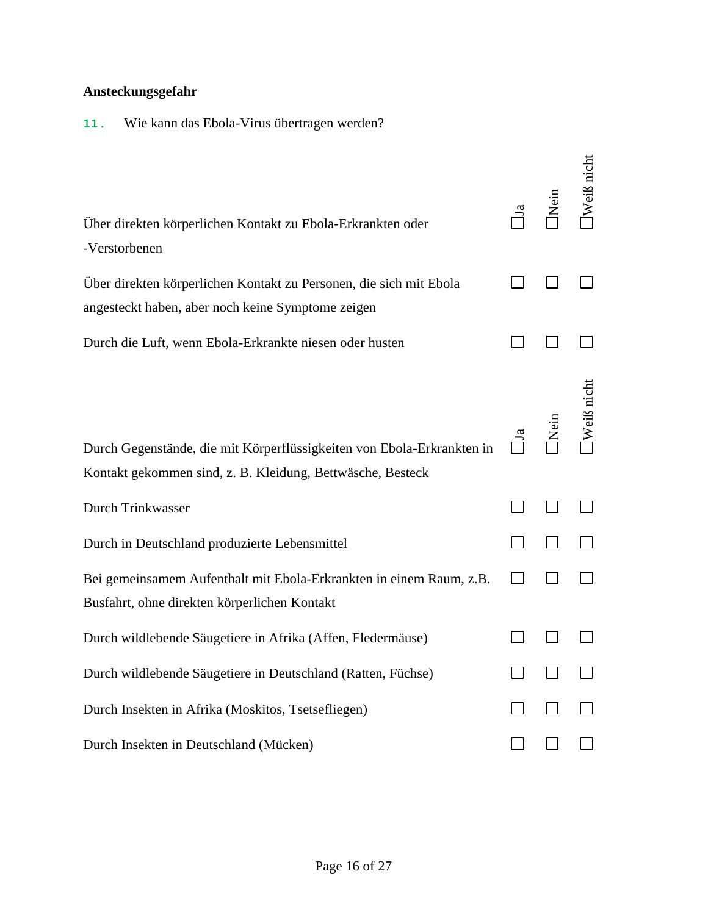### **Ansteckungsgefahr**

**11.** Wie kann das Ebola-Virus übertragen werden?

| Über direkten körperlichen Kontakt zu Ebola-Erkrankten oder<br>-Verstorbenen                                                         | $\Xi$          | Nein | Weiß nicht |
|--------------------------------------------------------------------------------------------------------------------------------------|----------------|------|------------|
| Über direkten körperlichen Kontakt zu Personen, die sich mit Ebola                                                                   |                |      |            |
| angesteckt haben, aber noch keine Symptome zeigen                                                                                    |                |      |            |
| Durch die Luft, wenn Ebola-Erkrankte niesen oder husten                                                                              |                |      |            |
| Durch Gegenstände, die mit Körperflüssigkeiten von Ebola-Erkrankten in<br>Kontakt gekommen sind, z. B. Kleidung, Bettwäsche, Besteck | $\mathbb{I}^a$ | Nein | Weiß nich  |
| Durch Trinkwasser                                                                                                                    |                |      |            |
| Durch in Deutschland produzierte Lebensmittel                                                                                        |                |      |            |
| Bei gemeinsamem Aufenthalt mit Ebola-Erkrankten in einem Raum, z.B.<br>Busfahrt, ohne direkten körperlichen Kontakt                  |                |      |            |
| Durch wildlebende Säugetiere in Afrika (Affen, Fledermäuse)                                                                          |                |      |            |
| Durch wildlebende Säugetiere in Deutschland (Ratten, Füchse)                                                                         |                |      |            |
| Durch Insekten in Afrika (Moskitos, Tsetsefliegen)                                                                                   |                |      |            |
| Durch Insekten in Deutschland (Mücken)                                                                                               |                |      |            |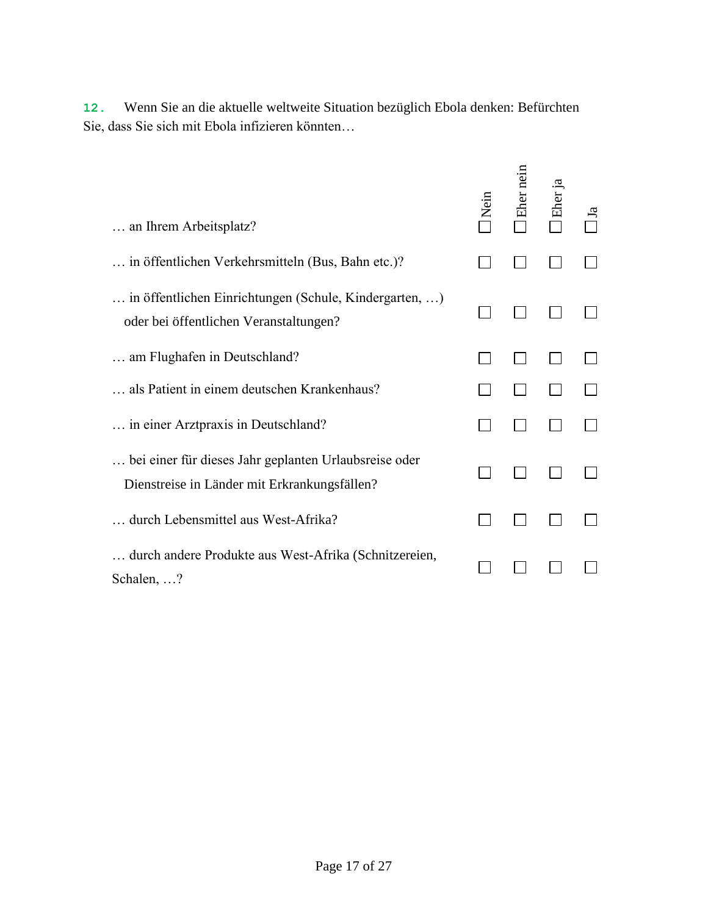| an Ihrem Arbeitsplatz?                                                                                | <b>Nein</b> | Eher nein | Eher ja |  |
|-------------------------------------------------------------------------------------------------------|-------------|-----------|---------|--|
| in öffentlichen Verkehrsmitteln (Bus, Bahn etc.)?                                                     |             |           |         |  |
| in öffentlichen Einrichtungen (Schule, Kindergarten, )<br>oder bei öffentlichen Veranstaltungen?      |             |           |         |  |
| am Flughafen in Deutschland?                                                                          |             |           |         |  |
| als Patient in einem deutschen Krankenhaus?                                                           |             |           |         |  |
| in einer Arztpraxis in Deutschland?                                                                   |             |           |         |  |
| bei einer für dieses Jahr geplanten Urlaubsreise oder<br>Dienstreise in Länder mit Erkrankungsfällen? |             |           |         |  |
| durch Lebensmittel aus West-Afrika?                                                                   |             |           |         |  |
| durch andere Produkte aus West-Afrika (Schnitzereien,<br>Schalen, ?                                   |             |           |         |  |

**12.** Wenn Sie an die aktuelle weltweite Situation bezüglich Ebola denken: Befürchten Sie, dass Sie sich mit Ebola infizieren könnten…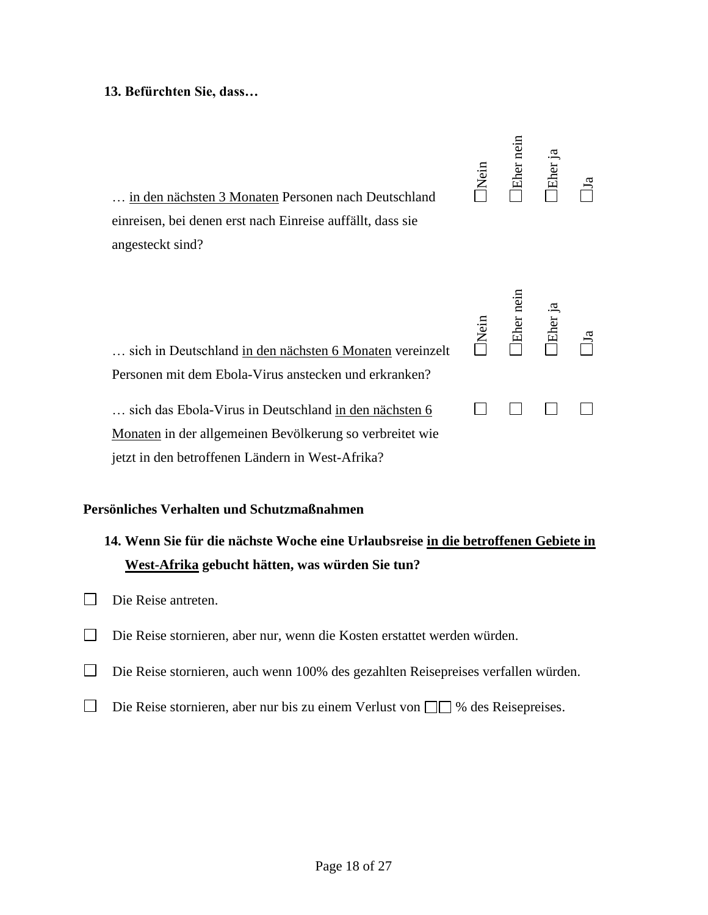#### **13. Befürchten Sie, dass…**

| in den nächsten 3 Monaten Personen nach Deutschland<br>einreisen, bei denen erst nach Einreise auffällt, dass sie<br>angesteckt sind?                                 | Nein        | Eher nein | Eher ja  | ದ |
|-----------------------------------------------------------------------------------------------------------------------------------------------------------------------|-------------|-----------|----------|---|
| sich in Deutschland in den nächsten 6 Monaten vereinzelt<br>Personen mit dem Ebola-Virus anstecken und erkranken?                                                     | <b>Nein</b> | Eher nein | IEher ja |   |
| sich das Ebola-Virus in Deutschland in den nächsten 6<br>Monaten in der allgemeinen Bevölkerung so verbreitet wie<br>jetzt in den betroffenen Ländern in West-Afrika? |             |           |          |   |

#### **Persönliches Verhalten und Schutzmaßnahmen**

### **14. Wenn Sie für die nächste Woche eine Urlaubsreise in die betroffenen Gebiete in West-Afrika gebucht hätten, was würden Sie tun?**

- Die Reise antreten.
- Die Reise stornieren, aber nur, wenn die Kosten erstattet werden würden.
- Die Reise stornieren, auch wenn 100% des gezahlten Reisepreises verfallen würden.
- $\Box$  Die Reise stornieren, aber nur bis zu einem Verlust von  $\Box \Box$  % des Reisepreises.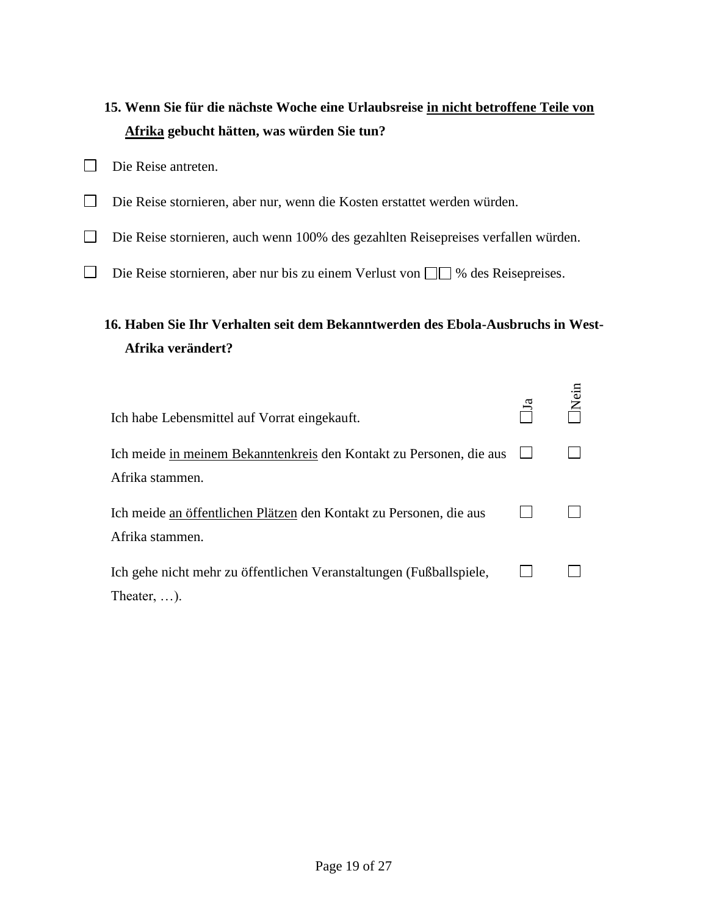# **15. Wenn Sie für die nächste Woche eine Urlaubsreise in nicht betroffene Teile von Afrika gebucht hätten, was würden Sie tun?**

- Die Reise antreten.
- Die Reise stornieren, aber nur, wenn die Kosten erstattet werden würden.
- Die Reise stornieren, auch wenn 100% des gezahlten Reisepreises verfallen würden.
- $\Box$  Die Reise stornieren, aber nur bis zu einem Verlust von  $\Box \Box$  % des Reisepreises.

## **16. Haben Sie Ihr Verhalten seit dem Bekanntwerden des Ebola-Ausbruchs in West-Afrika verändert?**

| Ich habe Lebensmittel auf Vorrat eingekauft.                                               |  |
|--------------------------------------------------------------------------------------------|--|
| Ich meide in meinem Bekanntenkreis den Kontakt zu Personen, die aus<br>Afrika stammen.     |  |
| Ich meide an öffentlichen Plätzen den Kontakt zu Personen, die aus<br>Afrika stammen.      |  |
| Ich gehe nicht mehr zu öffentlichen Veranstaltungen (Fußballspiele,<br>Theater, $\dots$ ). |  |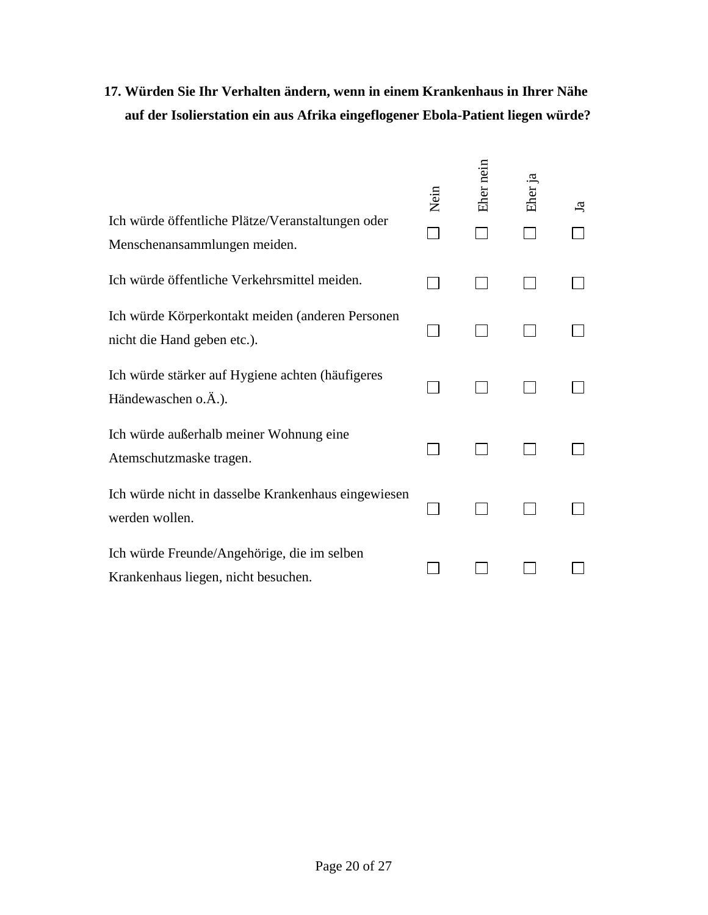# **17. Würden Sie Ihr Verhalten ändern, wenn in einem Krankenhaus in Ihrer Nähe auf der Isolierstation ein aus Afrika eingeflogener Ebola-Patient liegen würde?**

|                                                                                    | Nein | Eher nein | Eher ja | Ъ, |
|------------------------------------------------------------------------------------|------|-----------|---------|----|
| Ich würde öffentliche Plätze/Veranstaltungen oder<br>Menschenansammlungen meiden.  |      |           |         |    |
| Ich würde öffentliche Verkehrsmittel meiden.                                       |      |           |         |    |
| Ich würde Körperkontakt meiden (anderen Personen<br>nicht die Hand geben etc.).    |      |           |         |    |
| Ich würde stärker auf Hygiene achten (häufigeres<br>Händewaschen o.Ä.).            |      |           |         |    |
| Ich würde außerhalb meiner Wohnung eine<br>Atemschutzmaske tragen.                 |      |           |         |    |
| Ich würde nicht in dasselbe Krankenhaus eingewiesen<br>werden wollen.              |      |           |         |    |
| Ich würde Freunde/Angehörige, die im selben<br>Krankenhaus liegen, nicht besuchen. |      |           |         |    |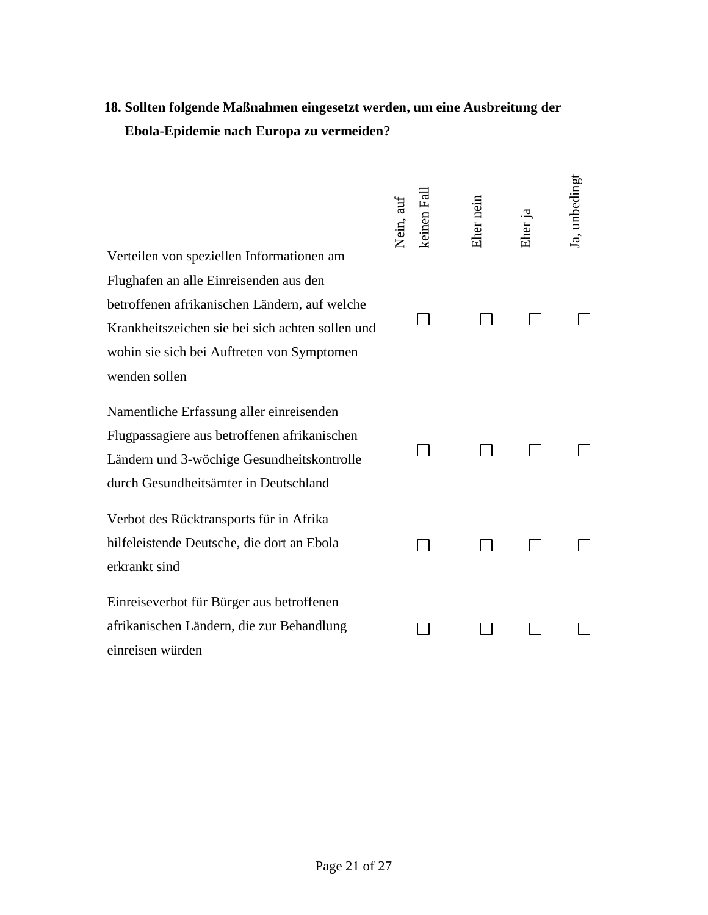# **18. Sollten folgende Maßnahmen eingesetzt werden, um eine Ausbreitung der Ebola-Epidemie nach Europa zu vermeiden?**

| Verteilen von speziellen Informationen am        | Nein, auf | keinen Fal | Eher nein | Eher ja | Ja, unbedingt |
|--------------------------------------------------|-----------|------------|-----------|---------|---------------|
| Flughafen an alle Einreisenden aus den           |           |            |           |         |               |
| betroffenen afrikanischen Ländern, auf welche    |           |            |           |         |               |
| Krankheitszeichen sie bei sich achten sollen und |           |            |           |         |               |
| wohin sie sich bei Auftreten von Symptomen       |           |            |           |         |               |
| wenden sollen                                    |           |            |           |         |               |
| Namentliche Erfassung aller einreisenden         |           |            |           |         |               |
| Flugpassagiere aus betroffenen afrikanischen     |           |            |           |         |               |
| Ländern und 3-wöchige Gesundheitskontrolle       |           |            |           |         |               |
| durch Gesundheitsämter in Deutschland            |           |            |           |         |               |
| Verbot des Rücktransports für in Afrika          |           |            |           |         |               |
| hilfeleistende Deutsche, die dort an Ebola       |           |            |           |         |               |
| erkrankt sind                                    |           |            |           |         |               |
| Einreiseverbot für Bürger aus betroffenen        |           |            |           |         |               |
| afrikanischen Ländern, die zur Behandlung        |           |            |           |         |               |
| einreisen würden                                 |           |            |           |         |               |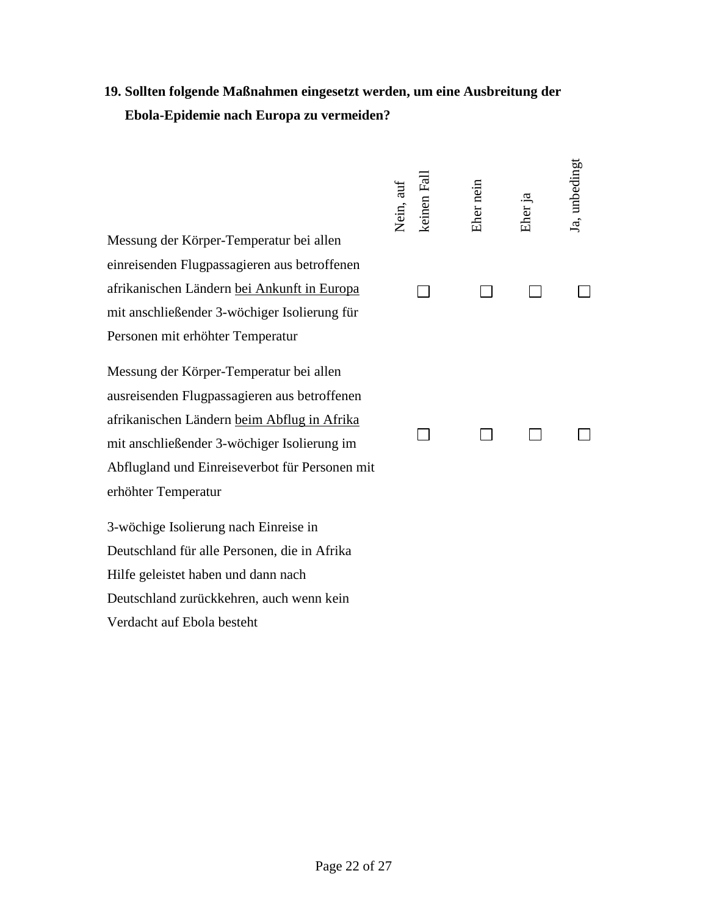### **19. Sollten folgende Maßnahmen eingesetzt werden, um eine Ausbreitung der Ebola-Epidemie nach Europa zu vermeiden?**

Messung der Körper-Temperatur bei allen einreisenden Flugpassagieren aus betroffenen afrikanischen Ländern bei Ankunft in Europa mit anschließender 3-wöchiger Isolierung für Personen mit erhöhter Temperatur

Messung der Körper-Temperatur bei allen ausreisenden Flugpassagieren aus betroffenen afrikanischen Ländern beim Abflug in Afrika mit anschließender 3-wöchiger Isolierung im Abflugland und Einreiseverbot für Personen mit erhöhter Temperatur

3-wöchige Isolierung nach Einreise in Deutschland für alle Personen, die in Afrika Hilfe geleistet haben und dann nach Deutschland zurückkehren, auch wenn kein Verdacht auf Ebola besteht

| keinen Fall<br>Nein, auf | Eher nein | Eher ja | Ja, unbedingt |
|--------------------------|-----------|---------|---------------|
|                          |           |         |               |
|                          |           |         |               |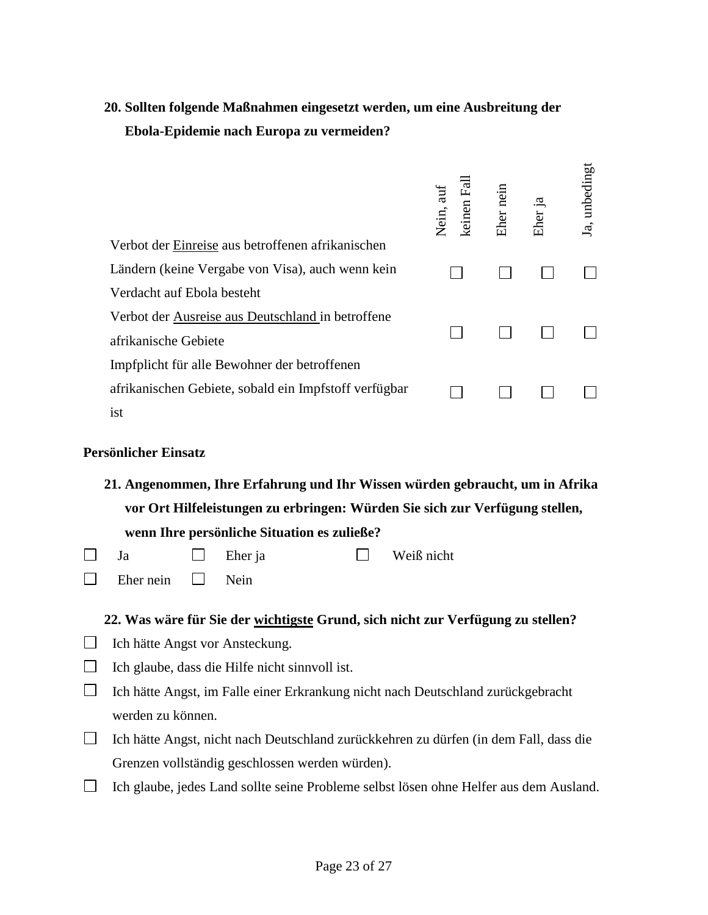# **20. Sollten folgende Maßnahmen eingesetzt werden, um eine Ausbreitung der Ebola-Epidemie nach Europa zu vermeiden?**

| Verbot der Einreise aus betroffenen afrikanischen     | 日<br>Nein, auf<br>keinen | Eher nein | Eher ja | Ja, unbedingt |
|-------------------------------------------------------|--------------------------|-----------|---------|---------------|
| Ländern (keine Vergabe von Visa), auch wenn kein      |                          |           |         |               |
| Verdacht auf Ebola besteht                            |                          |           |         |               |
| Verbot der Ausreise aus Deutschland in betroffene     |                          |           |         |               |
| afrikanische Gebiete                                  |                          |           |         |               |
| Impfplicht für alle Bewohner der betroffenen          |                          |           |         |               |
| afrikanischen Gebiete, sobald ein Impfstoff verfügbar |                          |           |         |               |
| ist                                                   |                          |           |         |               |

#### **Persönlicher Einsatz**

**21. Angenommen, Ihre Erfahrung und Ihr Wissen würden gebraucht, um in Afrika vor Ort Hilfeleistungen zu erbringen: Würden Sie sich zur Verfügung stellen, wenn Ihre persönliche Situation es zuließe?** 

| $\Box$ Ja |  |  | $\Box$ Eher ja |  | $\Box$ Weiß nicht |
|-----------|--|--|----------------|--|-------------------|
|-----------|--|--|----------------|--|-------------------|

 $\Box$ Eher nein  $\Box$  Nein

#### **22. Was wäre für Sie der wichtigste Grund, sich nicht zur Verfügung zu stellen?**

- □ Ich hätte Angst vor Ansteckung.
- $\Box$  Ich glaube, dass die Hilfe nicht sinnvoll ist.
- $\Box$  Ich hätte Angst, im Falle einer Erkrankung nicht nach Deutschland zurückgebracht werden zu können.
- Ich hätte Angst, nicht nach Deutschland zurückkehren zu dürfen (in dem Fall, dass die Grenzen vollständig geschlossen werden würden).
- Ich glaube, jedes Land sollte seine Probleme selbst lösen ohne Helfer aus dem Ausland.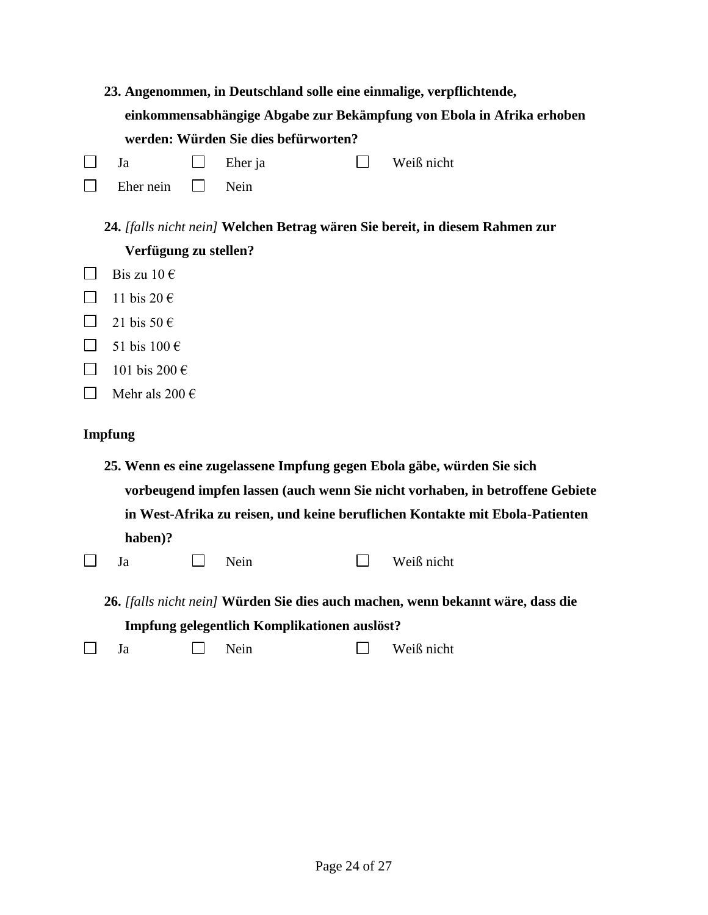|                                                                                 |                                                                               |  |                                              |  | 23. Angenommen, in Deutschland solle eine einmalige, verpflichtende,         |  |  |
|---------------------------------------------------------------------------------|-------------------------------------------------------------------------------|--|----------------------------------------------|--|------------------------------------------------------------------------------|--|--|
|                                                                                 | einkommensabhängige Abgabe zur Bekämpfung von Ebola in Afrika erhoben         |  |                                              |  |                                                                              |  |  |
|                                                                                 |                                                                               |  | werden: Würden Sie dies befürworten?         |  |                                                                              |  |  |
| $\Box$                                                                          | Ja                                                                            |  | Eher ja                                      |  | Weiß nicht                                                                   |  |  |
|                                                                                 | Eher nein                                                                     |  | Nein                                         |  |                                                                              |  |  |
|                                                                                 | 24. [falls nicht nein] Welchen Betrag wären Sie bereit, in diesem Rahmen zur  |  |                                              |  |                                                                              |  |  |
|                                                                                 | Verfügung zu stellen?                                                         |  |                                              |  |                                                                              |  |  |
| $\Box$                                                                          | Bis zu $10 \in$                                                               |  |                                              |  |                                                                              |  |  |
|                                                                                 | 11 bis 20 €                                                                   |  |                                              |  |                                                                              |  |  |
|                                                                                 | 21 bis 50 $\epsilon$                                                          |  |                                              |  |                                                                              |  |  |
|                                                                                 | 51 bis 100 €                                                                  |  |                                              |  |                                                                              |  |  |
|                                                                                 | 101 bis 200 €                                                                 |  |                                              |  |                                                                              |  |  |
| $\mathsf{L}$                                                                    | Mehr als 200 $\in$                                                            |  |                                              |  |                                                                              |  |  |
|                                                                                 | <b>Impfung</b>                                                                |  |                                              |  |                                                                              |  |  |
|                                                                                 | 25. Wenn es eine zugelassene Impfung gegen Ebola gäbe, würden Sie sich        |  |                                              |  |                                                                              |  |  |
|                                                                                 | vorbeugend impfen lassen (auch wenn Sie nicht vorhaben, in betroffene Gebiete |  |                                              |  |                                                                              |  |  |
|                                                                                 |                                                                               |  |                                              |  | in West-Afrika zu reisen, und keine beruflichen Kontakte mit Ebola-Patienten |  |  |
|                                                                                 | haben)?                                                                       |  |                                              |  |                                                                              |  |  |
| $\Box$                                                                          | Ja                                                                            |  | Nein                                         |  | Weiß nicht                                                                   |  |  |
| 26. [falls nicht nein] Würden Sie dies auch machen, wenn bekannt wäre, dass die |                                                                               |  |                                              |  |                                                                              |  |  |
|                                                                                 |                                                                               |  | Impfung gelegentlich Komplikationen auslöst? |  |                                                                              |  |  |
|                                                                                 | Ja                                                                            |  | Nein                                         |  | Weiß nicht                                                                   |  |  |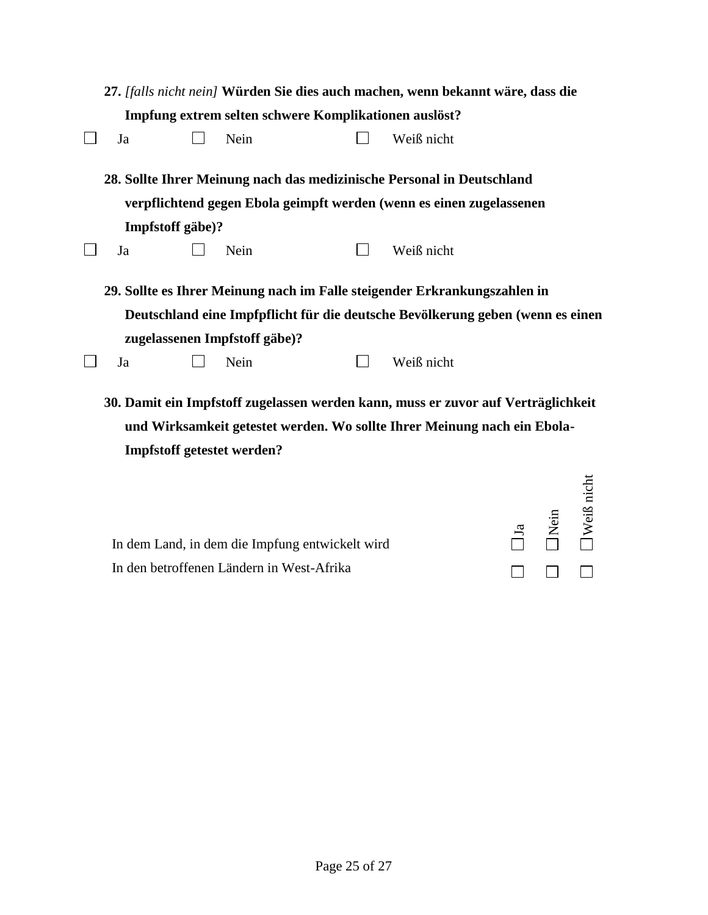|    |                  |                               |  | 27. [falls nicht nein] Würden Sie dies auch machen, wenn bekannt wäre, dass die                                                                               |  |
|----|------------------|-------------------------------|--|---------------------------------------------------------------------------------------------------------------------------------------------------------------|--|
|    |                  |                               |  | Impfung extrem selten schwere Komplikationen auslöst?                                                                                                         |  |
| Ja |                  | Nein                          |  | Weiß nicht                                                                                                                                                    |  |
|    |                  |                               |  | 28. Sollte Ihrer Meinung nach das medizinische Personal in Deutschland                                                                                        |  |
|    |                  |                               |  | verpflichtend gegen Ebola geimpft werden (wenn es einen zugelassenen                                                                                          |  |
|    | Impfstoff gäbe)? |                               |  |                                                                                                                                                               |  |
| Ja |                  | Nein                          |  | Weiß nicht                                                                                                                                                    |  |
|    |                  |                               |  | 29. Sollte es Ihrer Meinung nach im Falle steigender Erkrankungszahlen in                                                                                     |  |
|    |                  |                               |  | Deutschland eine Impfpflicht für die deutsche Bevölkerung geben (wenn es einen                                                                                |  |
|    |                  | zugelassenen Impfstoff gäbe)? |  |                                                                                                                                                               |  |
| Ja |                  | Nein                          |  | Weiß nicht                                                                                                                                                    |  |
|    |                  |                               |  | 30. Damit ein Impfstoff zugelassen werden kann, muss er zuvor auf Verträglichkeit<br>und Wirksamkeit getestet werden. Wo sollte Ihrer Meinung nach ein Ebola- |  |

**Impfstoff getestet werden?** 

|                                                 |              | $\begin{array}{c}\n\Box \text{1a} \\ \Box \text{Nein} \\ \Box \text{Weil}\n\end{array}$ |              |
|-------------------------------------------------|--------------|-----------------------------------------------------------------------------------------|--------------|
| In dem Land, in dem die Impfung entwickelt wird |              |                                                                                         |              |
| In den betroffenen Ländern in West-Afrika       | $\mathbf{1}$ | $\mathbf{1}$                                                                            | $\mathbb{R}$ |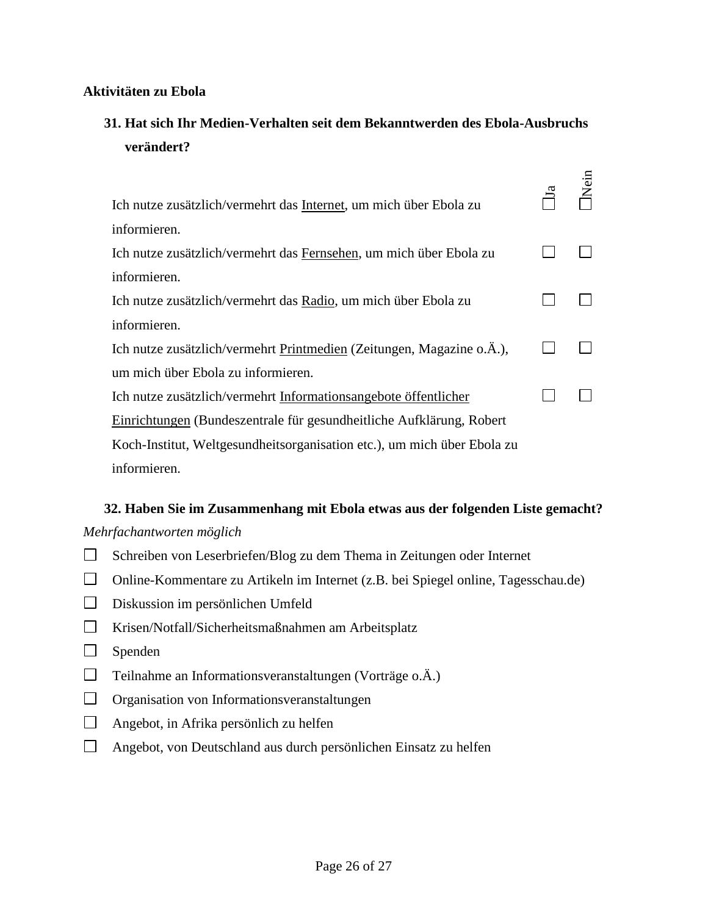#### **Aktivitäten zu Ebola**

### **31. Hat sich Ihr Medien-Verhalten seit dem Bekanntwerden des Ebola-Ausbruchs verändert?**

 $\mathbf n$ 

| Ich nutze zusätzlich/vermehrt das Internet, um mich über Ebola zu       | $\overline{\mathbf{a}}$ |  |
|-------------------------------------------------------------------------|-------------------------|--|
| informieren.                                                            |                         |  |
| Ich nutze zusätzlich/vermehrt das Fernsehen, um mich über Ebola zu      |                         |  |
| informieren.                                                            |                         |  |
| Ich nutze zusätzlich/vermehrt das Radio, um mich über Ebola zu          |                         |  |
| informieren.                                                            |                         |  |
| Ich nutze zusätzlich/vermehrt Printmedien (Zeitungen, Magazine o.Ä.),   |                         |  |
| um mich über Ebola zu informieren.                                      |                         |  |
| Ich nutze zusätzlich/vermehrt Informationsangebote öffentlicher         |                         |  |
| Einrichtungen (Bundeszentrale für gesundheitliche Aufklärung, Robert    |                         |  |
| Koch-Institut, Weltgesundheitsorganisation etc.), um mich über Ebola zu |                         |  |
| informieren.                                                            |                         |  |

### **32. Haben Sie im Zusammenhang mit Ebola etwas aus der folgenden Liste gemacht?**  *Mehrfachantworten möglich*

- $\Box$ Schreiben von Leserbriefen/Blog zu dem Thema in Zeitungen oder Internet
- Online-Kommentare zu Artikeln im Internet (z.B. bei Spiegel online, Tagesschau.de)
- Diskussion im persönlichen Umfeld
- $\Box$ Krisen/Notfall/Sicherheitsmaßnahmen am Arbeitsplatz
- $\Box$ Spenden
- $\Box$ Teilnahme an Informationsveranstaltungen (Vorträge o.Ä.)
- $\Box$ Organisation von Informationsveranstaltungen
- $\Box$ Angebot, in Afrika persönlich zu helfen
- $\Box$ Angebot, von Deutschland aus durch persönlichen Einsatz zu helfen